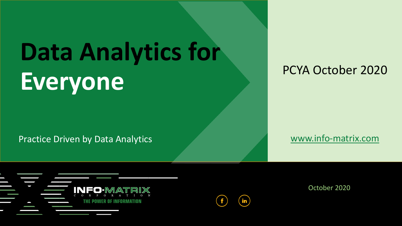# **Data Analytics for Everyone**

Practice Driven by Data Analytics **WALL Analytics** [www.info-matrix.com](http://www.info-matrix.com/)

#### PCYA October 2020



October 2020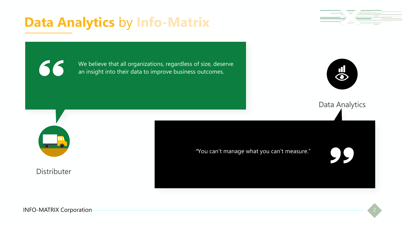# **Data Analytics** by **Info-Matrix**



66

We believe that all organizations, regardless of size, deserve an insight into their data to improve business outcomes.



Data Analytics

**Distributer** 

*"*You can't manage what you can't measure."

INFO-MATRIX Corporation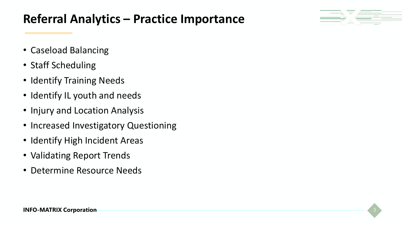### **Referral Analytics – Practice Importance**



- Caseload Balancing
- Staff Scheduling
- Identify Training Needs
- Identify IL youth and needs
- Injury and Location Analysis
- Increased Investigatory Questioning
- Identify High Incident Areas
- Validating Report Trends
- Determine Resource Needs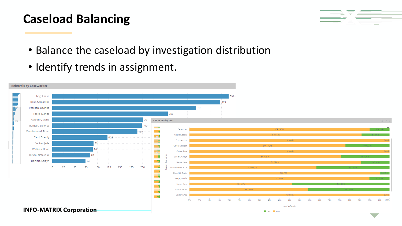# **Caseload Balancing**



- Balance the caseload by investigation distribution
- Identify trends in assignment.

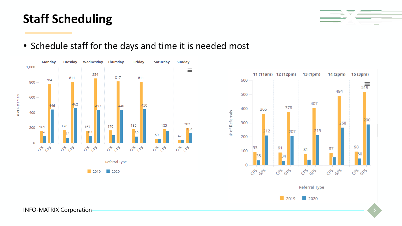#### INFO-MATRIX Corporation



#### • Schedule staff for the days and time it is needed most

**Staff Scheduling**



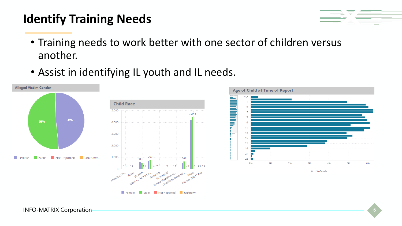## **Identify Training Needs**



- Training needs to work better with one sector of children versus another.
- Assist in identifying IL youth and IL needs.



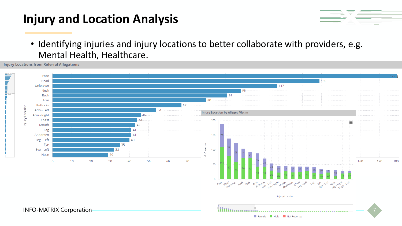### **Injury and Location Analysis**



• Identifying injuries and injury locations to better collaborate with providers, e.g. Mental Health, Healthcare.

**Injury Locations from Referral Allegations** 

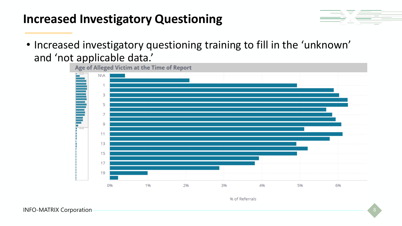### **Increased Investigatory Questioning**



• Increased investigatory questioning training to fill in the 'unknown' and 'not applicable data.'<br>Age of Alleged Victim at the Time of Report



% of Referrals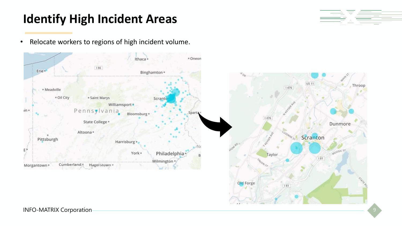## **Identify High Incident Areas**



• Relocate workers to regions of high incident volume.

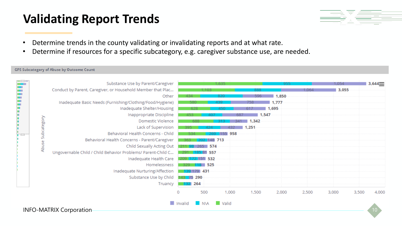#### **Validating Report Trends**



- Determine trends in the county validating or invalidating reports and at what rate.
- Determine if resources for a specific subcategory, e.g. caregiver substance use, are needed.

#### **GPS Subcategory of Abuse by Outcome Count**

|  |           | Substance Use by Parent/Caregiver                            |         |                   | 1.635        |              | 955   |       | 1.054 |       | 3,644 |
|--|-----------|--------------------------------------------------------------|---------|-------------------|--------------|--------------|-------|-------|-------|-------|-------|
|  |           | Conduct by Parent, Caregiver, or Household Member that Plac  |         |                   |              |              |       | 1.064 | 3,055 |       |       |
|  |           | Other                                                        | 434     |                   | 820          | 596          | 1.850 |       |       |       |       |
|  |           | Inadequate Basic Needs (Furnishing/Clothing/Food/Hygiene)    |         | 580               |              | 758          | 1.777 |       |       |       |       |
|  |           | Inadequate Shelter/Housing                                   |         |                   |              |              | 1,695 |       |       |       |       |
|  |           | Inappropriate Discipline                                     | 453.    |                   |              | 1,547<br>687 |       |       |       |       |       |
|  | category  | Domestic Violence                                            |         | 688               |              | 1,342        |       |       |       |       |       |
|  |           | Lack of Supervision                                          |         |                   |              | $-1,251$     |       |       |       |       |       |
|  |           | Behavioral Health Concerns - Child                           |         |                   | 958          |              |       |       |       |       |       |
|  | <b>Un</b> | Behavioral Health Concerns - Parent/Caregiver                |         |                   | 148 713      |              |       |       |       |       |       |
|  | Abuse     | Child Sexually Acting Out                                    |         | 574<br>フトト        |              |              |       |       |       |       |       |
|  |           | Ungovernable Child / Child Behavior Problems/ Parent-Child C |         | 81 557            |              |              |       |       |       |       |       |
|  |           | Inadequate Health Care                                       |         | 72 151 532        |              |              |       |       |       |       |       |
|  |           | Homelessness                                                 | -329.   | 525               |              |              |       |       |       |       |       |
|  |           | Inadequate Nurturing/Affection                               |         | -431<br>139 179 1 |              |              |       |       |       |       |       |
|  |           | Substance Use by Child                                       |         | 75 290            |              |              |       |       |       |       |       |
|  |           | Truancy                                                      |         | 264               |              |              |       |       |       |       |       |
|  |           |                                                              |         | 500               | 1,000        | 1,500        | 2,000 | 2,500 | 3,000 | 3,500 | 4,000 |
|  |           | <b>INFO-MATRIX Corporation-</b>                              | Invalid | <b>NVA</b>        | <b>Valid</b> |              |       |       |       |       |       |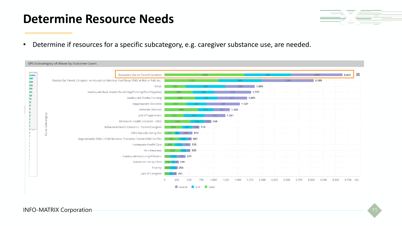#### **Determine Resource Needs**

|                                                 |        | the contract of the contract of the contract of the contract of the contract of the contract of the contract of                                                                                                               |  |
|-------------------------------------------------|--------|-------------------------------------------------------------------------------------------------------------------------------------------------------------------------------------------------------------------------------|--|
| the contract of the contract of the contract of |        | the control of the control of the control of the control of the control of the control of the control of the control of the control of the control of the control of the control of the control of the control of the control |  |
|                                                 | ______ | the contract of the contract of the contract of the contract of the contract of the contract of the contract of                                                                                                               |  |

• Determine if resources for a specific subcategory, e.g. caregiver substance use, are needed.

|                   | Substance Use by Parent/Caregiver                                                       |                        |         | 1,635   |     |       |       | 955      |       | 1,054 | 3,644 |
|-------------------|-----------------------------------------------------------------------------------------|------------------------|---------|---------|-----|-------|-------|----------|-------|-------|-------|
|                   | Conduct by Parent, Caregiver, or Household Member that Places Child at Risk or Fails to |                        | 1.103   |         |     |       | 888   |          | 1,064 | 3,055 |       |
|                   | Other                                                                                   | 434<br><b>Contract</b> |         | 820     |     |       | 596   | 1,850    |       |       |       |
|                   | Inadequate Basic Needs (Furnishing/Clothing/Food/Hygiene)                               | 580.                   |         | 439.    |     | 758   |       | $-1,777$ |       |       |       |
|                   | Inadequate Shelter/Housing                                                              | 628                    |         | 450.    |     | 617   |       | 1,695    |       |       |       |
|                   | Inappropriate Discipline                                                                | 453 -                  |         |         | 687 |       | 1,547 |          |       |       |       |
|                   | <b>Domestic Violence</b>                                                                | 688                    |         |         | 341 | 1,342 |       |          |       |       |       |
|                   | Lack of Supervision                                                                     | 395.                   | 424     |         | 432 | 1,251 |       |          |       |       |       |
| Abuse Subcategory | Behavioral Health Concerns - Child                                                      | 534                    |         | 155 958 |     |       |       |          |       |       |       |
|                   | Behavioral Health Concerns - Parent/Caregiver                                           | 363.<br>-202           | 148 713 |         |     |       |       |          |       |       |       |
|                   | Child Sexually Acting Out                                                               | 211 98 265 574         |         |         |     |       |       |          |       |       |       |
|                   | Ungovernable Child / Child Behavior Problems/ Parent-Child Conflict                     | 291                    | 81 557  |         |     |       |       |          |       |       |       |
|                   | Inadequate Health Care                                                                  | 172 151 532<br>209 -   |         |         |     |       |       |          |       |       |       |
|                   | Homelessness                                                                            | 329 118 78 525         |         |         |     |       |       |          |       |       |       |
|                   | Inadequate Nurturing/Affection                                                          | 13 139 179 431         |         |         |     |       |       |          |       |       |       |
|                   | Substance Use by Child                                                                  | 143 72 75 290          |         |         |     |       |       |          |       |       |       |
|                   | Truancy                                                                                 | 22B 264<br>1091        |         |         |     |       |       |          |       |       |       |
|                   | Lack of Caregiver                                                                       | 80 251                 |         |         |     |       |       |          |       |       |       |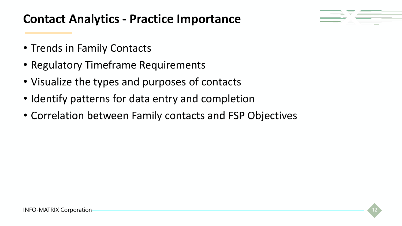#### **Contact Analytics - Practice Importance**



- Trends in Family Contacts
- Regulatory Timeframe Requirements
- Visualize the types and purposes of contacts
- Identify patterns for data entry and completion
- Correlation between Family contacts and FSP Objectives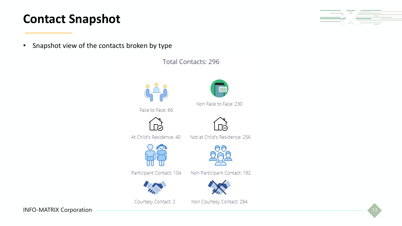#### **Contact Snapshot**

• Snapshot view of the contacts broken by type

**Total Contacts: 296** 



INFO-MATRIX Corporation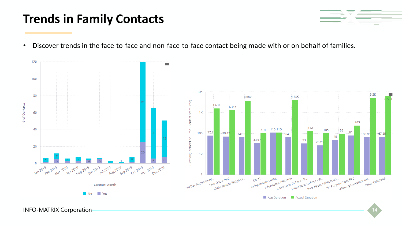#### **Trends in Family Contacts**



• Discover trends in the face-to-face and non-face-to-face contact being made with or on behalf of families.



INFO-MATRIX Corporation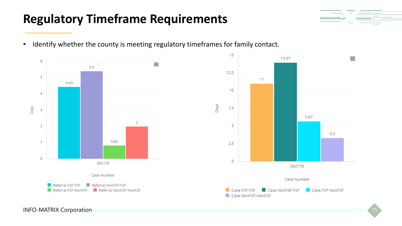#### **Regulatory Timeframe Requirements**



• Identify whether the county is meeting regulatory timeframes for family contact.



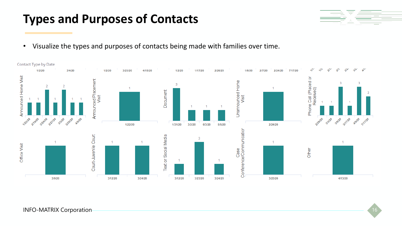#### INFO-MATRIX Corporation and the state of the state of the state of the state of the state of the state of the state of the state of the state of the state of the state of the state of the state of the state of the state of





### **Types and Purposes of Contacts**

• Visualize the types and purposes of contacts being made with families over time.

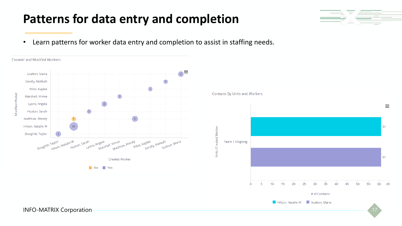### **Patterns for data entry and completion**

• Learn patterns for worker data entry and completion to assist in staffing needs.





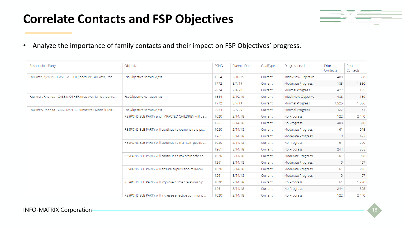#### **Correlate Contacts and FSP Objectives**



• Analyze the importance of family contacts and their impact on FSP Objectives' progress.

| Responsible Party                                          | Objective                                            | <b>FSPID</b> | PlannedDate | GoalType | ProgressLevel         | Prior<br>Contacts | Post<br>Contacts |
|------------------------------------------------------------|------------------------------------------------------|--------------|-------------|----------|-----------------------|-------------------|------------------|
| Faulkner, Ky'Mir I - CASE FATHER (Inactive); Faulkner, Rho | FspObjectiveNarrative_txt                            | 1554         | 2/10/19     | Current  | Initial/New Objective | 488               | 1,586            |
|                                                            |                                                      | 1772         | 8/7/19      | Current  | Moderate Progress     | 183               | 1,586            |
|                                                            |                                                      | 2024         | 2/4/20      | Current  | Minimal Progress      | 427               | 183              |
| Faulkner, Rhonda - CASE MOTHER (Inactive); Miller, Joann   | FspObjectiveNarrative_txt                            | 1554         | 2/10/19     | Current  | Initial/New Objective | 488               | 1,159            |
|                                                            |                                                      |              | 8/7/19      | Current  | Minimal Progress      | 1,525             | 1,586            |
| Faulkner, Rhonda - CASE MOTHER (Inactive); Monelli, Mic    | FspObjectiveNarrative_txt                            | 2024         | 2/4/20      | Current  | Minimal Progress      | 427               | -61              |
|                                                            | RESPONSIBLE PARTY and IMPACTED CHILDREN will de      | 1020         | 2/14/18     | Current  | No Progress           | 122               | 2,440            |
|                                                            |                                                      | 1261         | 8/14/18     | Current  | No Progress           | 488               | 610              |
|                                                            | RESPONSIBLE PARTY will continue to demonstrate po    | 1020         | 2/14/18     | Current  | Moderate Progress     | 61                | 915              |
|                                                            |                                                      | 1261         | 8/14/18     | Current  | Moderate Progress     | $\circ$           | 427              |
|                                                            | RESPONSIBLE PARTY will continue to maintain positive | 1020         | 2/14/18     | Current  | No Progress           | 61                | 1,220            |
|                                                            |                                                      | 1261         | 8/14/18     | Current  | No Progress           | 244               | 305              |
|                                                            | RESPONSIBLE PARTY will continue to maintain safe an  | 1020         | 2/14/18     | Current  | Moderate Progress     | 61                | 915              |
|                                                            |                                                      | 1261         | 8/14/18     | Current  | Moderate Progress     | $\circ$           | 427              |
|                                                            | RESPONSIBLE PARTY will ensure supervision of IMPAC   | 1020         | 2/14/18     | Current  | Moderate Progress     | 61                | 915              |
|                                                            |                                                      | 1261         | 8/14/18     | Current  | Moderate Progress     | $\circ$           | 427              |
|                                                            | RESPONSIBLE PARTY will improve his/her relationship  | 1020         | 2/14/18     | Current  | No Progress           | 61                | 1,220            |
|                                                            |                                                      | 1261         | 8/14/18     | Current  | No Progress           | 244               | 305              |
|                                                            | RESPONSIBLE PARTY will increase effective communic   | 1020         | 2/14/18     | Current  | No Progress           | 122               | 2,440            |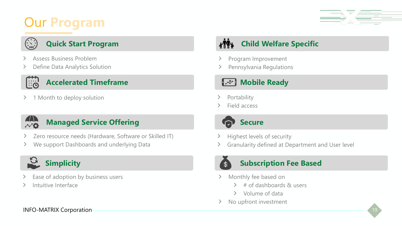# Our **Program**



#### **Quick Start Program**

- Assess Business Problem
- Define Data Analytics Solution ⋗

#### **Accelerated Timeframe**

1 Month to deploy solution  $\geq$ 



#### **Managed Service Offering**

- Zero resource needs (Hardware, Software or Skilled IT) ⋗
- We support Dashboards and underlying Data ⋗



- Ease of adoption by business users
- Intuitive Interface

#### **Child Welfare Specific**  $\eta$

- Program Improvement
- Pennsylvania Regulations

#### **Mobile Ready**

- Portability
- Field access



- Highest levels of security
- Granularity defined at Department and User level



#### **Subscription Fee Based**

- Monthly fee based on  $\sum$ 
	- $\geq$  # of dashboards & users
	- Volume of data
- No upfront investment  $\sum$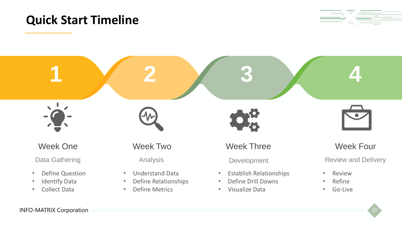#### **Quick Start Timeline**